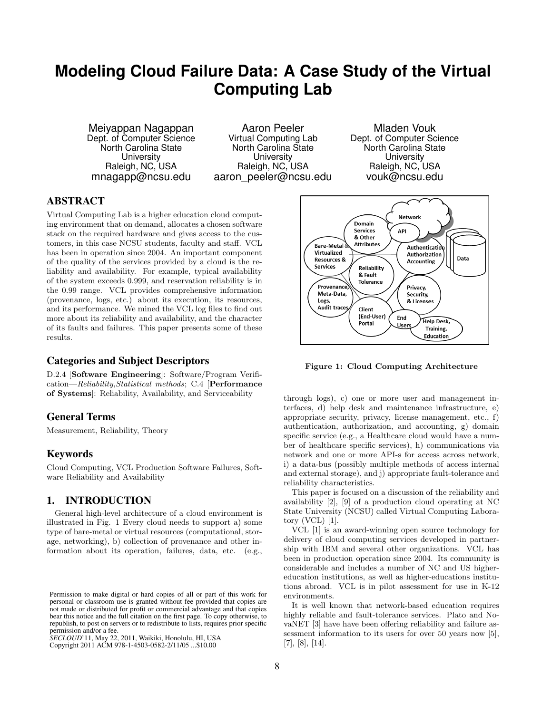# **Modeling Cloud Failure Data: A Case Study of the Virtual Computing Lab**

Meiyappan Nagappan Dept. of Computer Science North Carolina State **University** Raleigh, NC, USA mnagapp@ncsu.edu

Aaron Peeler Virtual Computing Lab North Carolina State **University** Raleigh, NC, USA aaron\_peeler@ncsu.edu

Mladen Vouk Dept. of Computer Science North Carolina State **University** Raleigh, NC, USA vouk@ncsu.edu

# ABSTRACT

Virtual Computing Lab is a higher education cloud computing environment that on demand, allocates a chosen software stack on the required hardware and gives access to the customers, in this case NCSU students, faculty and staff. VCL has been in operation since 2004. An important component of the quality of the services provided by a cloud is the reliability and availability. For example, typical availability of the system exceeds 0.999, and reservation reliability is in the 0.99 range. VCL provides comprehensive information (provenance, logs, etc.) about its execution, its resources, and its performance. We mined the VCL log files to find out more about its reliability and availability, and the character of its faults and failures. This paper presents some of these results.

## Categories and Subject Descriptors

D.2.4 [Software Engineering]: Software/Program Verification—Reliability,Statistical methods; C.4 [Performance of Systems]: Reliability, Availability, and Serviceability

#### General Terms

Measurement, Reliability, Theory

# Keywords

Cloud Computing, VCL Production Software Failures, Software Reliability and Availability

## 1. INTRODUCTION

General high-level architecture of a cloud environment is illustrated in Fig. 1 Every cloud needs to support a) some type of bare-metal or virtual resources (computational, storage, networking), b) collection of provenance and other information about its operation, failures, data, etc. (e.g.,



Figure 1: Cloud Computing Architecture

through logs), c) one or more user and management interfaces, d) help desk and maintenance infrastructure, e) appropriate security, privacy, license management, etc., f) authentication, authorization, and accounting, g) domain specific service (e.g., a Healthcare cloud would have a number of healthcare specific services), h) communications via network and one or more API-s for access across network, i) a data-bus (possibly multiple methods of access internal and external storage), and j) appropriate fault-tolerance and reliability characteristics.

This paper is focused on a discussion of the reliability and availability [2], [9] of a production cloud operating at NC State University (NCSU) called Virtual Computing Laboratory (VCL) [1].

VCL [1] is an award-winning open source technology for delivery of cloud computing services developed in partnership with IBM and several other organizations. VCL has been in production operation since 2004. Its community is considerable and includes a number of NC and US highereducation institutions, as well as higher-educations institutions abroad. VCL is in pilot assessment for use in K-12 environments.

It is well known that network-based education requires highly reliable and fault-tolerance services. Plato and NovaNET [3] have have been offering reliability and failure assessment information to its users for over 50 years now [5],

Permission to make digital or hard copies of all or part of this work for personal or classroom use is granted without fee provided that copies are personal or classroom use is granted without fee provided that copies are not made or distributed for profit or commercial advantage and that copies not made or distributed for profit or commercial advantage and that copies bear this notice and the full citation on the first page. To copy otherwise, to bear this notice and the full citation on the first page. To copy otherwise, to republish, to post on servers or to redistribute to lists, requires prior specific republish, to post on servers or to redistribute to lists, requires prior specific permission and/or a fee. **Permission to make digital or hard copies of all or part of this work for** environment personal or disarbouted for profit or commercial advantage and that copies bear this notice and the full citation on the first page. T

permission and/or a fee. *SECLOUD*'11, May 22, 2011, Waikiki, Honolulu, HI, USA

Copyright 2011 ACM 978-1-4503-0582-2/11/05 ...\$10.00. Copyright 2011 ACM 978-1-4503-0582-2/11/05 ...\$10.00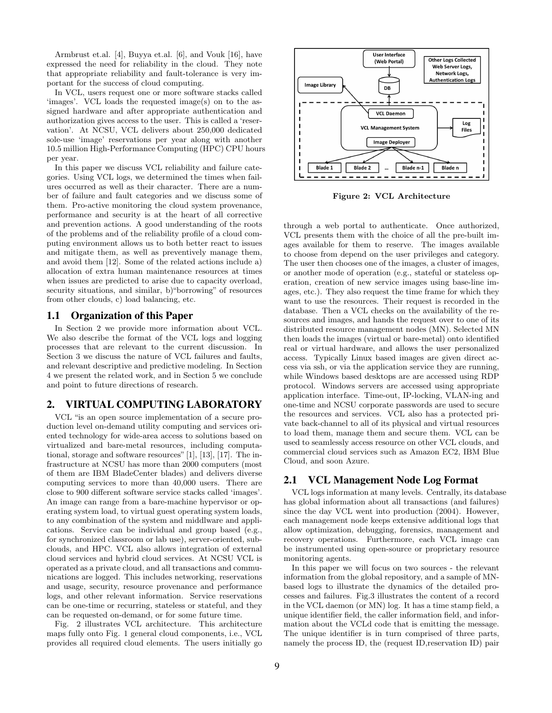Armbrust et.al. [4], Buyya et.al. [6], and Vouk [16], have expressed the need for reliability in the cloud. They note that appropriate reliability and fault-tolerance is very important for the success of cloud computing.

In VCL, users request one or more software stacks called 'images'. VCL loads the requested image(s) on to the assigned hardware and after appropriate authentication and authorization gives access to the user. This is called a 'reservation'. At NCSU, VCL delivers about 250,000 dedicated sole-use 'image' reservations per year along with another 10.5 million High-Performance Computing (HPC) CPU hours per year.

In this paper we discuss VCL reliability and failure categories. Using VCL logs, we determined the times when failures occurred as well as their character. There are a number of failure and fault categories and we discuss some of them. Pro-active monitoring the cloud system provenance, performance and security is at the heart of all corrective and prevention actions. A good understanding of the roots of the problems and of the reliability profile of a cloud computing environment allows us to both better react to issues and mitigate them, as well as preventively manage them, and avoid them [12]. Some of the related actions include a) allocation of extra human maintenance resources at times when issues are predicted to arise due to capacity overload, security situations, and similar, b)"borrowing" of resources from other clouds, c) load balancing, etc.

## 1.1 Organization of this Paper

In Section 2 we provide more information about VCL. We also describe the format of the VCL logs and logging processes that are relevant to the current discussion. In Section 3 we discuss the nature of VCL failures and faults, and relevant descriptive and predictive modeling. In Section 4 we present the related work, and in Section 5 we conclude and point to future directions of research.

#### 2. VIRTUAL COMPUTING LABORATORY

VCL "is an open source implementation of a secure production level on-demand utility computing and services oriented technology for wide-area access to solutions based on virtualized and bare-metal resources, including computational, storage and software resources" [1], [13], [17]. The infrastructure at NCSU has more than 2000 computers (most of them are IBM BladeCenter blades) and delivers diverse computing services to more than 40,000 users. There are close to 900 different software service stacks called 'images'. An image can range from a bare-machine hypervisor or operating system load, to virtual guest operating system loads, to any combination of the system and middlware and applications. Service can be individual and group based (e.g., for synchronized classroom or lab use), server-oriented, subclouds, and HPC. VCL also allows integration of external cloud services and hybrid cloud services. At NCSU VCL is operated as a private cloud, and all transactions and communications are logged. This includes networking, reservations and usage, security, resource provenance and performance logs, and other relevant information. Service reservations can be one-time or recurring, stateless or stateful, and they can be requested on-demand, or for some future time.

Fig. 2 illustrates VCL architecture. This architecture maps fully onto Fig. 1 general cloud components, i.e., VCL provides all required cloud elements. The users initially go



Figure 2: VCL Architecture

through a web portal to authenticate. Once authorized, VCL presents them with the choice of all the pre-built images available for them to reserve. The images available to choose from depend on the user privileges and category. The user then chooses one of the images, a cluster of images, or another mode of operation (e.g., stateful or stateless operation, creation of new service images using base-line images, etc.). They also request the time frame for which they want to use the resources. Their request is recorded in the database. Then a VCL checks on the availability of the resources and images, and hands the request over to one of its distributed resource management nodes (MN). Selected MN then loads the images (virtual or bare-metal) onto identified real or virtual hardware, and allows the user personalized access. Typically Linux based images are given direct access via ssh, or via the application service they are running, while Windows based desktops are are accessed using RDP protocol. Windows servers are accessed using appropriate application interface. Time-out, IP-locking, VLAN-ing and one-time and NCSU corporate passwords are used to secure the resources and services. VCL also has a protected private back-channel to all of its physical and virtual resources to load them, manage them and secure them. VCL can be used to seamlessly access resource on other VCL clouds, and commercial cloud services such as Amazon EC2, IBM Blue Cloud, and soon Azure.

## 2.1 VCL Management Node Log Format

VCL logs information at many levels. Centrally, its database has global information about all transactions (and failures) since the day VCL went into production (2004). However, each management node keeps extensive additional logs that allow optimization, debugging, forensics, management and recovery operations. Furthermore, each VCL image can be instrumented using open-source or proprietary resource monitoring agents.

In this paper we will focus on two sources - the relevant information from the global repository, and a sample of MNbased logs to illustrate the dynamics of the detailed processes and failures. Fig.3 illustrates the content of a record in the VCL daemon (or MN) log. It has a time stamp field, a unique identifier field, the caller information field, and information about the VCLd code that is emitting the message. The unique identifier is in turn comprised of three parts, namely the process ID, the (request ID,reservation ID) pair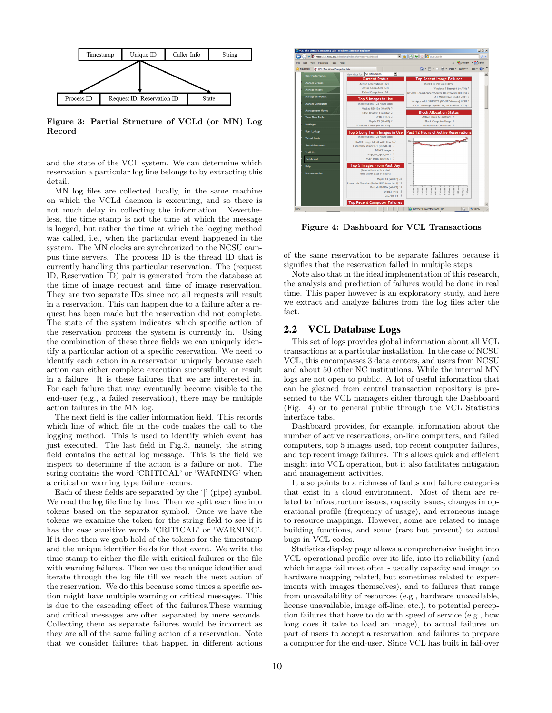

Figure 3: Partial Structure of VCLd (or MN) Log Record

and the state of the VCL system. We can determine which reservation a particular log line belongs to by extracting this detail.

MN log files are collected locally, in the same machine on which the VCLd daemon is executing, and so there is not much delay in collecting the information. Nevertheless, the time stamp is not the time at which the message is logged, but rather the time at which the logging method was called, i.e., when the particular event happened in the system. The MN clocks are synchronized to the NCSU campus time servers. The process ID is the thread ID that is currently handling this particular reservation. The (request ID, Reservation ID) pair is generated from the database at the time of image request and time of image reservation. They are two separate IDs since not all requests will result in a reservation. This can happen due to a failure after a request has been made but the reservation did not complete. The state of the system indicates which specific action of the reservation process the system is currently in. Using the combination of these three fields we can uniquely identify a particular action of a specific reservation. We need to identify each action in a reservation uniquely because each action can either complete execution successfully, or result in a failure. It is these failures that we are interested in. For each failure that may eventually become visible to the end-user (e.g., a failed reservation), there may be multiple action failures in the MN log.

The next field is the caller information field. This records which line of which file in the code makes the call to the logging method. This is used to identify which event has just executed. The last field in Fig.3, namely, the string field contains the actual log message. This is the field we inspect to determine if the action is a failure or not. The string contains the word 'CRITICAL' or 'WARNING' when a critical or warning type failure occurs.

Each of these fields are separated by the '|' (pipe) symbol. We read the log file line by line. Then we split each line into tokens based on the separator symbol. Once we have the tokens we examine the token for the string field to see if it has the case sensitive words 'CRITICAL' or 'WARNING'. If it does then we grab hold of the tokens for the timestamp and the unique identifier fields for that event. We write the time stamp to either the file with critical failures or the file with warning failures. Then we use the unique identifier and iterate through the log file till we reach the next action of the reservation. We do this because some times a specific action might have multiple warning or critical messages. This is due to the cascading effect of the failures.These warning and critical messages are often separated by mere seconds. Collecting them as separate failures would be incorrect as they are all of the same failing action of a reservation. Note that we consider failures that happen in different actions



Figure 4: Dashboard for VCL Transactions

of the same reservation to be separate failures because it signifies that the reservation failed in multiple steps.

Note also that in the ideal implementation of this research, the analysis and prediction of failures would be done in real time. This paper however is an exploratory study, and here we extract and analyze failures from the log files after the fact.

#### 2.2 VCL Database Logs

This set of logs provides global information about all VCL transactions at a particular installation. In the case of NCSU VCL, this encompasses 3 data centers, and users from NCSU and about 50 other NC institutions. While the internal MN logs are not open to public. A lot of useful information that can be gleaned from central transaction repository is presented to the VCL managers either through the Dashboard (Fig. 4) or to general public through the VCL Statistics interface tabs.

Dashboard provides, for example, information about the number of active reservations, on-line computers, and failed computers, top 5 images used, top recent computer failures, and top recent image failures. This allows quick and efficient insight into VCL operation, but it also facilitates mitigation and management activities.

It also points to a richness of faults and failure categories that exist in a cloud environment. Most of them are related to infrastructure issues, capacity issues, changes in operational profile (frequency of usage), and erroneous image to resource mappings. However, some are related to image building functions, and some (rare but present) to actual bugs in VCL codes.

Statistics display page allows a comprehensive insight into VCL operational profile over its life, into its reliability (and which images fail most often - usually capacity and image to hardware mapping related, but sometimes related to experiments with images themselves), and to failures that range from unavailability of resources (e.g., hardware unavailable, license unavailable, image off-line, etc.), to potential perception failures that have to do with speed of service (e.g., how long does it take to load an image), to actual failures on part of users to accept a reservation, and failures to prepare a computer for the end-user. Since VCL has built in fail-over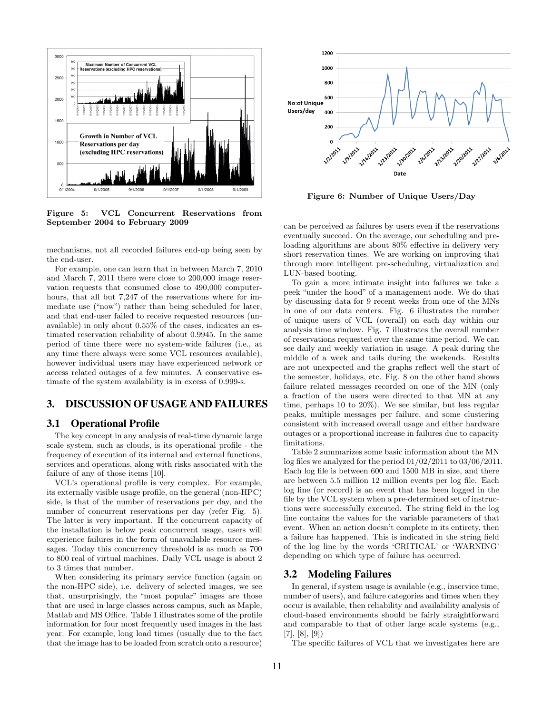

Figure 5: VCL Concurrent Reservations from September 2004 to February 2009

mechanisms, not all recorded failures end-up being seen by the end-user.

For example, one can learn that in between March 7, 2010 and March 7, 2011 there were close to 200,000 image reservation requests that consumed close to 490,000 computerhours, that all but 7,247 of the reservations where for immediate use ("now") rather than being scheduled for later, and that end-user failed to receive requested resources (unavailable) in only about 0.55% of the cases, indicates an estimated reservation reliability of about 0.9945. In the same period of time there were no system-wide failures (i.e., at any time there always were some VCL resources available), however individual users may have experienced network or access related outages of a few minutes. A conservative estimate of the system availability is in excess of 0.999-s.

# 3. DISCUSSION OF USAGE AND FAILURES

# 3.1 Operational Profile

The key concept in any analysis of real-time dynamic large scale system, such as clouds, is its operational profile - the frequency of execution of its internal and external functions, services and operations, along with risks associated with the failure of any of those items [10].

VCL's operational profile is very complex. For example, its externally visible usage profile, on the general (non-HPC) side, is that of the number of reservations per day, and the number of concurrent reservations per day (refer Fig. 5). The latter is very important. If the concurrent capacity of the installation is below peak concurrent usage, users will experience failures in the form of unavailable resource messages. Today this concurrency threshold is as much as 700 to 800 real of virtual machines. Daily VCL usage is about 2 to 3 times that number.

When considering its primary service function (again on the non-HPC side), i.e. delivery of selected images, we see that, unsurprisingly, the "most popular" images are those that are used in large classes across campus, such as Maple, Matlab and MS Office. Table 1 illustrates some of the profile information for four most frequently used images in the last year. For example, long load times (usually due to the fact that the image has to be loaded from scratch onto a resource)



Figure 6: Number of Unique Users/Day

can be perceived as failures by users even if the reservations eventually succeed. On the average, our scheduling and preloading algorithms are about 80% effective in delivery very short reservation times. We are working on improving that through more intelligent pre-scheduling, virtualization and LUN-based booting.

To gain a more intimate insight into failures we take a peek "under the hood" of a management node. We do that by discussing data for 9 recent weeks from one of the MNs in one of our data centers. Fig. 6 illustrates the number of unique users of VCL (overall) on each day within our analysis time window. Fig. 7 illustrates the overall number of reservations requested over the same time period. We can see daily and weekly variation in usage. A peak during the middle of a week and tails during the weekends. Results are not unexpected and the graphs reflect well the start of the semester, holidays, etc. Fig. 8 on the other hand shows failure related messages recorded on one of the MN (only a fraction of the users were directed to that MN at any time, perhaps 10 to 20%). We see similar, but less regular peaks, multiple messages per failure, and some clustering consistent with increased overall usage and either hardware outages or a proportional increase in failures due to capacity limitations.

Table 2 summarizes some basic information about the MN log files we analyzed for the period 01/02/2011 to 03/06/2011. Each log file is between 600 and 1500 MB in size, and there are between 5.5 million 12 million events per log file. Each log line (or record) is an event that has been logged in the file by the VCL system when a pre-determined set of instructions were successfully executed. The string field in the log line contains the values for the variable parameters of that event. When an action doesn't complete in its entirety, then a failure has happened. This is indicated in the string field of the log line by the words 'CRITICAL' or 'WARNING' depending on which type of failure has occurred.

#### 3.2 Modeling Failures

In general, if system usage is available (e.g., inservice time, number of users), and failure categories and times when they occur is available, then reliability and availability analysis of cloud-based environments should be fairly straightforward and comparable to that of other large scale systems (e.g.,  $[7], [8], [9]$ 

The specific failures of VCL that we investigates here are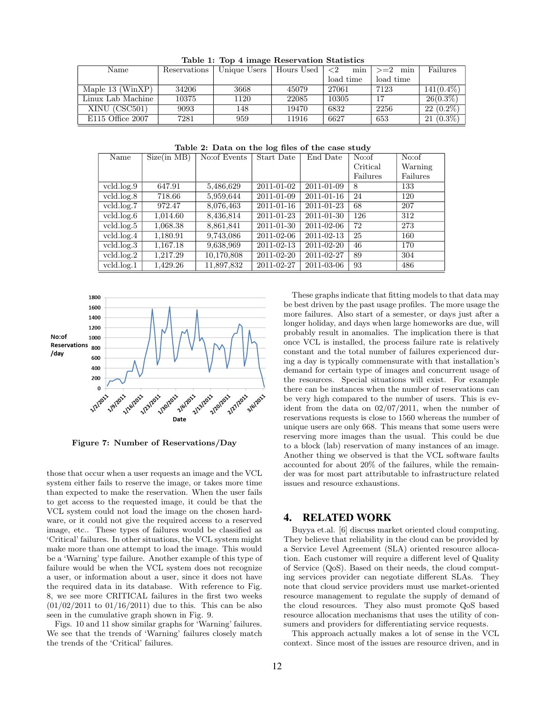| Lable 1, 10p + mage reservation beamstres |              |              |            |               |            |              |  |  |  |  |  |
|-------------------------------------------|--------------|--------------|------------|---------------|------------|--------------|--|--|--|--|--|
| Name                                      | Reservations | Unique Users | Hours Used | min<br>${<}2$ | $>= 2$ min | Failures     |  |  |  |  |  |
|                                           |              |              |            | load time     | load time  |              |  |  |  |  |  |
| Maple $13 \ (WinXP)$                      | 34206        | 3668         | 45079      | 27061         | 7123       | $141(0.4\%)$ |  |  |  |  |  |
| Linux Lab Machine                         | 10375        | 1120         | 22085      | 10305         | 17         | $26(0.3\%)$  |  |  |  |  |  |
| XINU (CSC501)                             | 9093         | 148          | 19470      | 6832          | 2256       | $22(0.2\%)$  |  |  |  |  |  |
| E115 Office 2007                          | 7281         | 959          | 11916      | 6627          | 653        | $21(0.3\%)$  |  |  |  |  |  |

Table 1: Top 4 image Reservation Statistics

| Name                   | Size(in MB) | No:of Events | Start Date | End Date   | No:of    | No:of    |
|------------------------|-------------|--------------|------------|------------|----------|----------|
|                        |             |              |            |            | Critical | Warning  |
|                        |             |              |            |            | Failures | Failures |
| $v$ cld. $log.9$       | 647.91      | 5,486,629    | 2011-01-02 | 2011-01-09 | 8        | 133      |
| $\text{vcd.}$ log. $8$ | 718.66      | 5,959,644    | 2011-01-09 | 2011-01-16 | 24       | 120      |
| $v$ cld. $log.7$       | 972.47      | 8,076,463    | 2011-01-16 | 2011-01-23 | 68       | 207      |
| vcld.log.6             | 1,014.60    | 8,436,814    | 2011-01-23 | 2011-01-30 | 126      | 312      |
| $\text{vcd.}$ log.5    | 1,068.38    | 8,861,841    | 2011-01-30 | 2011-02-06 | 72       | 273      |
| $\text{vclid.log.4}$   | 1.180.91    | 9,743,086    | 2011-02-06 | 2011-02-13 | 25       | 160      |
| $\text{vcd.}$ log. $3$ | 1.167.18    | 9,638,969    | 2011-02-13 | 2011-02-20 | 46       | 170      |
| $\text{vcd.}$ log. $2$ | 1.217.29    | 10,170,808   | 2011-02-20 | 2011-02-27 | 89       | 304      |
| vcld.log.1             | 1.429.26    | 11,897,832   | 2011-02-27 | 2011-03-06 | 93       | 486      |

Table 2: Data on the log files of the case study



Figure 7: Number of Reservations/Day

those that occur when a user requests an image and the VCL system either fails to reserve the image, or takes more time than expected to make the reservation. When the user fails to get access to the requested image, it could be that the VCL system could not load the image on the chosen hardware, or it could not give the required access to a reserved image, etc.. These types of failures would be classified as 'Critical' failures. In other situations, the VCL system might make more than one attempt to load the image. This would be a 'Warning' type failure. Another example of this type of failure would be when the VCL system does not recognize a user, or information about a user, since it does not have the required data in its database. With reference to Fig. 8, we see more CRITICAL failures in the first two weeks  $(01/02/2011$  to  $01/16/2011)$  due to this. This can be also seen in the cumulative graph shown in Fig. 9.

Figs. 10 and 11 show similar graphs for 'Warning' failures. We see that the trends of 'Warning' failures closely match the trends of the 'Critical' failures.

These graphs indicate that fitting models to that data may be best driven by the past usage profiles. The more usage the more failures. Also start of a semester, or days just after a longer holiday, and days when large homeworks are due, will probably result in anomalies. The implication there is that once VCL is installed, the process failure rate is relatively constant and the total number of failures experienced during a day is typically commensurate with that installation's demand for certain type of images and concurrent usage of the resources. Special situations will exist. For example there can be instances when the number of reservations can be very high compared to the number of users. This is evident from the data on 02/07/2011, when the number of reservations requests is close to 1560 whereas the number of unique users are only 668. This means that some users were reserving more images than the usual. This could be due to a block (lab) reservation of many instances of an image. Another thing we observed is that the VCL software faults accounted for about 20% of the failures, while the remainder was for most part attributable to infrastructure related issues and resource exhaustions.

## 4. RELATED WORK

Buyya et.al. [6] discuss market oriented cloud computing. They believe that reliability in the cloud can be provided by a Service Level Agreement (SLA) oriented resource allocation. Each customer will require a different level of Quality of Service (QoS). Based on their needs, the cloud computing services provider can negotiate different SLAs. They note that cloud service providers must use market-oriented resource management to regulate the supply of demand of the cloud resources. They also must promote QoS based resource allocation mechanisms that uses the utility of consumers and providers for differentiating service requests.

This approach actually makes a lot of sense in the VCL context. Since most of the issues are resource driven, and in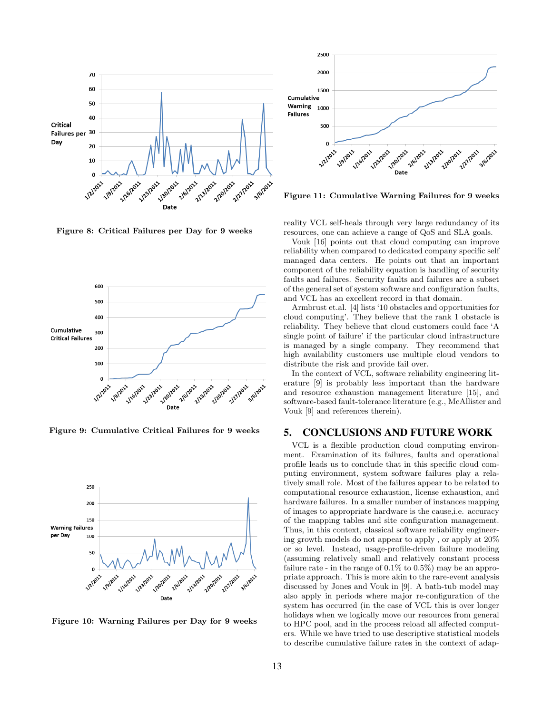

Figure 8: Critical Failures per Day for 9 weeks



Figure 9: Cumulative Critical Failures for 9 weeks



Figure 10: Warning Failures per Day for 9 weeks



Figure 11: Cumulative Warning Failures for 9 weeks

reality VCL self-heals through very large redundancy of its resources, one can achieve a range of QoS and SLA goals.

Vouk [16] points out that cloud computing can improve reliability when compared to dedicated company specific self managed data centers. He points out that an important component of the reliability equation is handling of security faults and failures. Security faults and failures are a subset of the general set of system software and configuration faults, and VCL has an excellent record in that domain.

Armbrust et.al. [4] lists '10 obstacles and opportunities for cloud computing'. They believe that the rank 1 obstacle is reliability. They believe that cloud customers could face 'A single point of failure' if the particular cloud infrastructure is managed by a single company. They recommend that high availability customers use multiple cloud vendors to distribute the risk and provide fail over.

In the context of VCL, software reliability engineering literature [9] is probably less important than the hardware and resource exhaustion management literature [15], and software-based fault-tolerance literature (e.g., McAllister and Vouk [9] and references therein).

# 5. CONCLUSIONS AND FUTURE WORK

VCL is a flexible production cloud computing environment. Examination of its failures, faults and operational profile leads us to conclude that in this specific cloud computing environment, system software failures play a relatively small role. Most of the failures appear to be related to computational resource exhaustion, license exhaustion, and hardware failures. In a smaller number of instances mapping of images to appropriate hardware is the cause,i.e. accuracy of the mapping tables and site configuration management. Thus, in this context, classical software reliability engineering growth models do not appear to apply , or apply at 20% or so level. Instead, usage-profile-driven failure modeling (assuming relatively small and relatively constant process failure rate - in the range of  $0.1\%$  to  $0.5\%$ ) may be an appropriate approach. This is more akin to the rare-event analysis discussed by Jones and Vouk in [9]. A bath-tub model may also apply in periods where major re-configuration of the system has occurred (in the case of VCL this is over longer holidays when we logically move our resources from general to HPC pool, and in the process reload all affected computers. While we have tried to use descriptive statistical models to describe cumulative failure rates in the context of adap